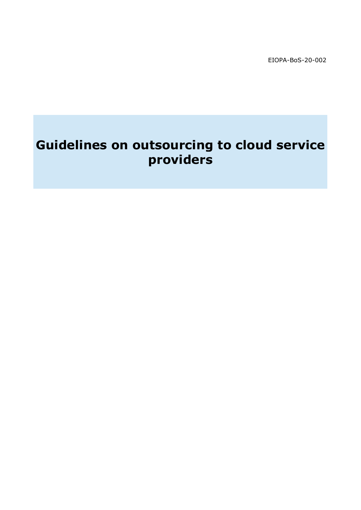EIOPA-BoS-20-002

# **Guidelines on outsourcing to cloud service providers**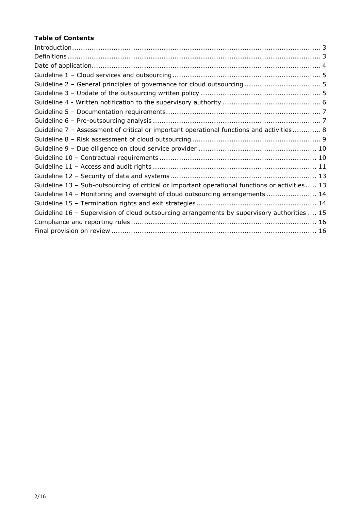# **Table of Contents**

| Guideline 7 - Assessment of critical or important operational functions and activities 8        |
|-------------------------------------------------------------------------------------------------|
|                                                                                                 |
|                                                                                                 |
|                                                                                                 |
|                                                                                                 |
|                                                                                                 |
| Guideline 13 - Sub-outsourcing of critical or important operational functions or activities  13 |
| Guideline 14 - Monitoring and oversight of cloud outsourcing arrangements  14                   |
|                                                                                                 |
| Guideline 16 - Supervision of cloud outsourcing arrangements by supervisory authorities  15     |
|                                                                                                 |
|                                                                                                 |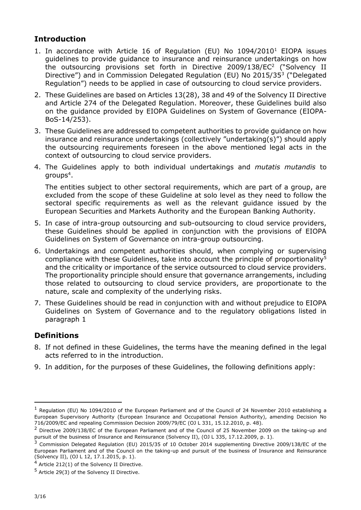# <span id="page-2-0"></span>**Introduction**

- 1. In accordance with Article 16 of Regulation (EU) No 1094/2010<sup>1</sup> EIOPA issues guidelines to provide guidance to insurance and reinsurance undertakings on how the outsourcing provisions set forth in Directive 2009/138/EC<sup>2</sup> ("Solvency II Directive") and in Commission Delegated Regulation (EU) No 2015/35<sup>3</sup> ("Delegated Regulation") needs to be applied in case of outsourcing to cloud service providers.
- 2. These Guidelines are based on Articles 13(28), 38 and 49 of the Solvency II Directive and Article 274 of the Delegated Regulation. Moreover, these Guidelines build also on the guidance provided by EIOPA Guidelines on System of Governance (EIOPA-BoS-14/253).
- 3. These Guidelines are addressed to competent authorities to provide guidance on how insurance and reinsurance undertakings (collectively "undertaking(s)") should apply the outsourcing requirements foreseen in the above mentioned legal acts in the context of outsourcing to cloud service providers.
- 4. The Guidelines apply to both individual undertakings and *mutatis mutandis* to groups $\rm ^4.$

The entities subject to other sectoral requirements, which are part of a group, are excluded from the scope of these Guideline at solo level as they need to follow the sectoral specific requirements as well as the relevant guidance issued by the European Securities and Markets Authority and the European Banking Authority.

- 5. In case of intra-group outsourcing and sub-outsourcing to cloud service providers, these Guidelines should be applied in conjunction with the provisions of EIOPA Guidelines on System of Governance on intra-group outsourcing.
- 6. Undertakings and competent authorities should, when complying or supervising compliance with these Guidelines, take into account the principle of proportionality<sup>5</sup> and the criticality or importance of the service outsourced to cloud service providers. The proportionality principle should ensure that governance arrangements, including those related to outsourcing to cloud service providers, are proportionate to the nature, scale and complexity of the underlying risks.
- 7. These Guidelines should be read in conjunction with and without prejudice to EIOPA Guidelines on System of Governance and to the regulatory obligations listed in paragraph 1

# <span id="page-2-1"></span>**Definitions**

- 8. If not defined in these Guidelines, the terms have the meaning defined in the legal acts referred to in the introduction.
- 9. In addition, for the purposes of these Guidelines, the following definitions apply:

-

 $<sup>1</sup>$  Regulation (EU) No 1094/2010 of the European Parliament and of the Council of 24 November 2010 establishing a</sup> European Supervisory Authority (European Insurance and Occupational Pension Authority), amending Decision No 716/2009/EC and repealing Commission Decision 2009/79/EC (OJ L 331, 15.12.2010, p. 48).

<sup>&</sup>lt;sup>2</sup> Directive 2009/138/EC of the European Parliament and of the Council of 25 November 2009 on the taking-up and pursuit of the business of Insurance and Reinsurance (Solvency II), (OJ L 335, 17.12.2009, p. 1).

<sup>&</sup>lt;sup>3</sup> Commission Delegated Regulation (EU) 2015/35 of 10 October 2014 supplementing Directive 2009/138/EC of the European Parliament and of the Council on the taking-up and pursuit of the business of Insurance and Reinsurance (Solvency II), (OJ L 12, 17.1.2015, p. 1).

 $4$  Article 212(1) of the Solvency II Directive.

<sup>5</sup> Article 29(3) of the Solvency II Directive.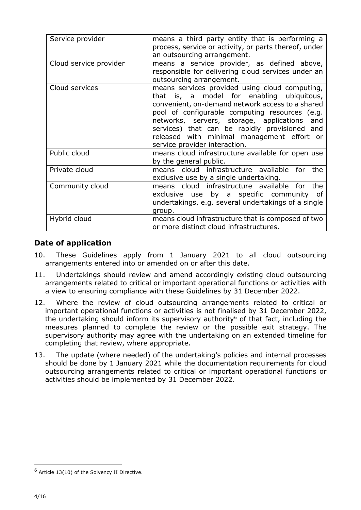| Service provider       | means a third party entity that is performing a<br>process, service or activity, or parts thereof, under<br>an outsourcing arrangement.                                                                                                                                                                                                                                              |
|------------------------|--------------------------------------------------------------------------------------------------------------------------------------------------------------------------------------------------------------------------------------------------------------------------------------------------------------------------------------------------------------------------------------|
| Cloud service provider | means a service provider, as defined above,<br>responsible for delivering cloud services under an<br>outsourcing arrangement.                                                                                                                                                                                                                                                        |
| Cloud services         | means services provided using cloud computing,<br>that is, a model for enabling ubiquitous,<br>convenient, on-demand network access to a shared<br>pool of configurable computing resources (e.g.<br>networks, servers, storage, applications<br>and<br>services) that can be rapidly provisioned and<br>released with minimal management effort or<br>service provider interaction. |
| Public cloud           | means cloud infrastructure available for open use<br>by the general public.                                                                                                                                                                                                                                                                                                          |
| Private cloud          | means cloud infrastructure available for the<br>exclusive use by a single undertaking.                                                                                                                                                                                                                                                                                               |
| Community cloud        | means cloud infrastructure available for<br>the<br>exclusive use by a specific community of<br>undertakings, e.g. several undertakings of a single<br>group.                                                                                                                                                                                                                         |
| Hybrid cloud           | means cloud infrastructure that is composed of two<br>or more distinct cloud infrastructures.                                                                                                                                                                                                                                                                                        |

#### <span id="page-3-0"></span>**Date of application**

- 10. These Guidelines apply from 1 January 2021 to all cloud outsourcing arrangements entered into or amended on or after this date.
- 11. Undertakings should review and amend accordingly existing cloud outsourcing arrangements related to critical or important operational functions or activities with a view to ensuring compliance with these Guidelines by 31 December 2022.
- 12. Where the review of cloud outsourcing arrangements related to critical or important operational functions or activities is not finalised by 31 December 2022, the undertaking should inform its supervisory authority<sup>6</sup> of that fact, including the measures planned to complete the review or the possible exit strategy. The supervisory authority may agree with the undertaking on an extended timeline for completing that review, where appropriate.
- 13. The update (where needed) of the undertaking's policies and internal processes should be done by 1 January 2021 while the documentation requirements for cloud outsourcing arrangements related to critical or important operational functions or activities should be implemented by 31 December 2022.

-

 $6$  Article 13(10) of the Solvency II Directive.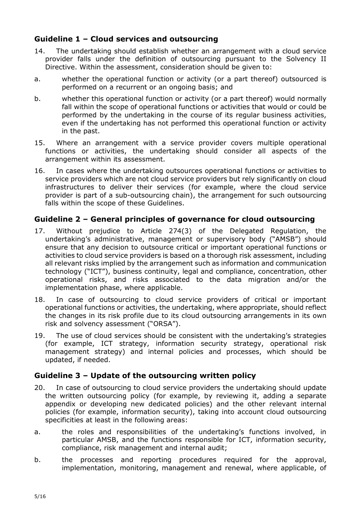# <span id="page-4-0"></span>**Guideline 1 – Cloud services and outsourcing**

- 14. The undertaking should establish whether an arrangement with a cloud service provider falls under the definition of outsourcing pursuant to the Solvency II Directive. Within the assessment, consideration should be given to:
- a. whether the operational function or activity (or a part thereof) outsourced is performed on a recurrent or an ongoing basis; and
- b. whether this operational function or activity (or a part thereof) would normally fall within the scope of operational functions or activities that would or could be performed by the undertaking in the course of its regular business activities, even if the undertaking has not performed this operational function or activity in the past.
- 15. Where an arrangement with a service provider covers multiple operational functions or activities, the undertaking should consider all aspects of the arrangement within its assessment.
- 16. In cases where the undertaking outsources operational functions or activities to service providers which are not cloud service providers but rely significantly on cloud infrastructures to deliver their services (for example, where the cloud service provider is part of a sub-outsourcing chain), the arrangement for such outsourcing falls within the scope of these Guidelines.

## <span id="page-4-1"></span>**Guideline 2 – General principles of governance for cloud outsourcing**

- 17. Without prejudice to Article 274(3) of the Delegated Regulation, the undertaking's administrative, management or supervisory body ("AMSB") should ensure that any decision to outsource critical or important operational functions or activities to cloud service providers is based on a thorough risk assessment, including all relevant risks implied by the arrangement such as information and communication technology ("ICT"), business continuity, legal and compliance, concentration, other operational risks, and risks associated to the data migration and/or the implementation phase, where applicable.
- 18. In case of outsourcing to cloud service providers of critical or important operational functions or activities, the undertaking, where appropriate, should reflect the changes in its risk profile due to its cloud outsourcing arrangements in its own risk and solvency assessment ("ORSA").
- 19. The use of cloud services should be consistent with the undertaking's strategies (for example, ICT strategy, information security strategy, operational risk management strategy) and internal policies and processes, which should be updated, if needed.

# <span id="page-4-2"></span>**Guideline 3 – Update of the outsourcing written policy**

- 20. In case of outsourcing to cloud service providers the undertaking should update the written outsourcing policy (for example, by reviewing it, adding a separate appendix or developing new dedicated policies) and the other relevant internal policies (for example, information security), taking into account cloud outsourcing specificities at least in the following areas:
- a. the roles and responsibilities of the undertaking's functions involved, in particular AMSB, and the functions responsible for ICT, information security, compliance, risk management and internal audit;
- b. the processes and reporting procedures required for the approval, implementation, monitoring, management and renewal, where applicable, of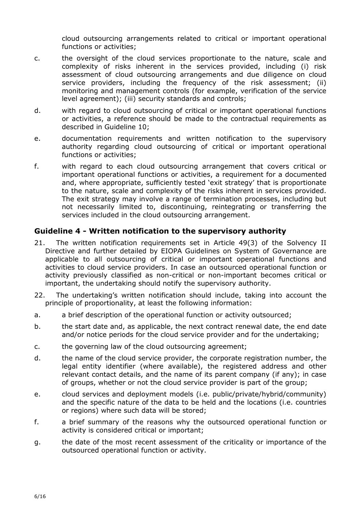cloud outsourcing arrangements related to critical or important operational functions or activities;

- c. the oversight of the cloud services proportionate to the nature, scale and complexity of risks inherent in the services provided, including (i) risk assessment of cloud outsourcing arrangements and due diligence on cloud service providers, including the frequency of the risk assessment; (ii) monitoring and management controls (for example, verification of the service level agreement); (iii) security standards and controls;
- d. with regard to cloud outsourcing of critical or important operational functions or activities, a reference should be made to the contractual requirements as described in Guideline 10;
- e. documentation requirements and written notification to the supervisory authority regarding cloud outsourcing of critical or important operational functions or activities;
- f. with regard to each cloud outsourcing arrangement that covers critical or important operational functions or activities, a requirement for a documented and, where appropriate, sufficiently tested 'exit strategy' that is proportionate to the nature, scale and complexity of the risks inherent in services provided. The exit strategy may involve a range of termination processes, including but not necessarily limited to, discontinuing, reintegrating or transferring the services included in the cloud outsourcing arrangement.

#### <span id="page-5-0"></span>**Guideline 4 - Written notification to the supervisory authority**

- 21. The written notification requirements set in Article 49(3) of the Solvency II Directive and further detailed by EIOPA Guidelines on System of Governance are applicable to all outsourcing of critical or important operational functions and activities to cloud service providers. In case an outsourced operational function or activity previously classified as non-critical or non-important becomes critical or important, the undertaking should notify the supervisory authority.
- 22. The undertaking's written notification should include, taking into account the principle of proportionality, at least the following information:
- a. a brief description of the operational function or activity outsourced;
- b. the start date and, as applicable, the next contract renewal date, the end date and/or notice periods for the cloud service provider and for the undertaking;
- c. the governing law of the cloud outsourcing agreement;
- d. the name of the cloud service provider, the corporate registration number, the legal entity identifier (where available), the registered address and other relevant contact details, and the name of its parent company (if any); in case of groups, whether or not the cloud service provider is part of the group;
- e. cloud services and deployment models (i.e. public/private/hybrid/community) and the specific nature of the data to be held and the locations (i.e. countries or regions) where such data will be stored;
- f. a brief summary of the reasons why the outsourced operational function or activity is considered critical or important;
- g. the date of the most recent assessment of the criticality or importance of the outsourced operational function or activity.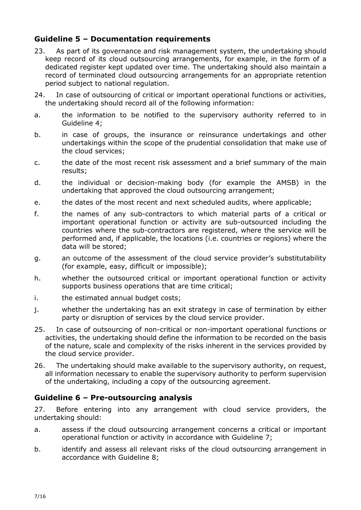# <span id="page-6-0"></span>**Guideline 5 – Documentation requirements**

- 23. As part of its governance and risk management system, the undertaking should keep record of its cloud outsourcing arrangements, for example, in the form of a dedicated register kept updated over time. The undertaking should also maintain a record of terminated cloud outsourcing arrangements for an appropriate retention period subject to national regulation.
- 24. In case of outsourcing of critical or important operational functions or activities, the undertaking should record all of the following information:
- a. the information to be notified to the supervisory authority referred to in Guideline 4;
- b. in case of groups, the insurance or reinsurance undertakings and other undertakings within the scope of the prudential consolidation that make use of the cloud services;
- c. the date of the most recent risk assessment and a brief summary of the main results;
- d. the individual or decision-making body (for example the AMSB) in the undertaking that approved the cloud outsourcing arrangement;
- e. the dates of the most recent and next scheduled audits, where applicable;
- f. the names of any sub-contractors to which material parts of a critical or important operational function or activity are sub-outsourced including the countries where the sub-contractors are registered, where the service will be performed and, if applicable, the locations (i.e. countries or regions) where the data will be stored;
- g. an outcome of the assessment of the cloud service provider's substitutability (for example, easy, difficult or impossible);
- h. whether the outsourced critical or important operational function or activity supports business operations that are time critical;
- i. the estimated annual budget costs;
- j. whether the undertaking has an exit strategy in case of termination by either party or disruption of services by the cloud service provider.
- 25. In case of outsourcing of non-critical or non-important operational functions or activities, the undertaking should define the information to be recorded on the basis of the nature, scale and complexity of the risks inherent in the services provided by the cloud service provider.
- 26. The undertaking should make available to the supervisory authority, on request, all information necessary to enable the supervisory authority to perform supervision of the undertaking, including a copy of the outsourcing agreement.

# <span id="page-6-1"></span>**Guideline 6 – Pre-outsourcing analysis**

27. Before entering into any arrangement with cloud service providers, the undertaking should:

- a. assess if the cloud outsourcing arrangement concerns a critical or important operational function or activity in accordance with Guideline 7;
- b. identify and assess all relevant risks of the cloud outsourcing arrangement in accordance with Guideline 8;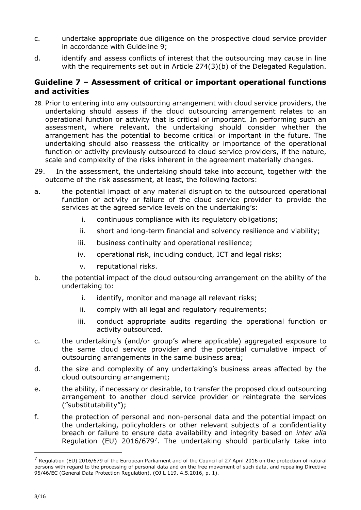- c. undertake appropriate due diligence on the prospective cloud service provider in accordance with Guideline 9;
- d. identify and assess conflicts of interest that the outsourcing may cause in line with the requirements set out in Article 274(3)(b) of the Delegated Regulation.

## <span id="page-7-0"></span>**Guideline 7 – Assessment of critical or important operational functions and activities**

- 28. Prior to entering into any outsourcing arrangement with cloud service providers, the undertaking should assess if the cloud outsourcing arrangement relates to an operational function or activity that is critical or important. In performing such an assessment, where relevant, the undertaking should consider whether the arrangement has the potential to become critical or important in the future. The undertaking should also reassess the criticality or importance of the operational function or activity previously outsourced to cloud service providers, if the nature, scale and complexity of the risks inherent in the agreement materially changes.
- 29. In the assessment, the undertaking should take into account, together with the outcome of the risk assessment, at least, the following factors:
- a. the potential impact of any material disruption to the outsourced operational function or activity or failure of the cloud service provider to provide the services at the agreed service levels on the undertaking's:
	- i. continuous compliance with its regulatory obligations;
	- ii. short and long-term financial and solvency resilience and viability;
	- iii. business continuity and operational resilience;
	- iv. operational risk, including conduct, ICT and legal risks;
	- v. reputational risks.
- b. the potential impact of the cloud outsourcing arrangement on the ability of the undertaking to:
	- i. identify, monitor and manage all relevant risks;
	- ii. comply with all legal and regulatory requirements;
	- iii. conduct appropriate audits regarding the operational function or activity outsourced.
- c. the undertaking's (and/or group's where applicable) aggregated exposure to the same cloud service provider and the potential cumulative impact of outsourcing arrangements in the same business area;
- d. the size and complexity of any undertaking's business areas affected by the cloud outsourcing arrangement;
- e. the ability, if necessary or desirable, to transfer the proposed cloud outsourcing arrangement to another cloud service provider or reintegrate the services ("substitutability");
- f. the protection of personal and non-personal data and the potential impact on the undertaking, policyholders or other relevant subjects of a confidentiality breach or failure to ensure data availability and integrity based on *inter alia* Regulation (EU) 2016/679<sup>7</sup>. The undertaking should particularly take into

-

 $<sup>7</sup>$  Regulation (EU) 2016/679 of the European Parliament and of the Council of 27 April 2016 on the protection of natural</sup> persons with regard to the processing of personal data and on the free movement of such data, and repealing Directive 95/46/EC (General Data Protection Regulation), (OJ L 119, 4.5.2016, p. 1).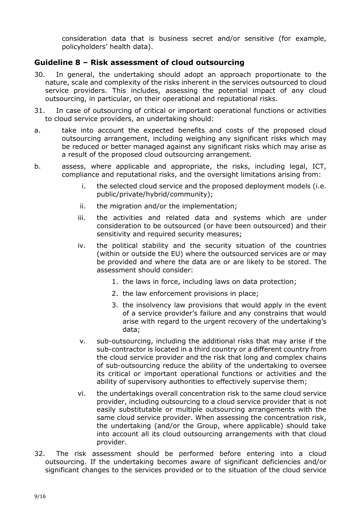consideration data that is business secret and/or sensitive (for example, policyholders' health data).

## <span id="page-8-0"></span>**Guideline 8 – Risk assessment of cloud outsourcing**

- 30. In general, the undertaking should adopt an approach proportionate to the nature, scale and complexity of the risks inherent in the services outsourced to cloud service providers. This includes, assessing the potential impact of any cloud outsourcing, in particular, on their operational and reputational risks.
- 31. In case of outsourcing of critical or important operational functions or activities to cloud service providers, an undertaking should:
- a. take into account the expected benefits and costs of the proposed cloud outsourcing arrangement, including weighing any significant risks which may be reduced or better managed against any significant risks which may arise as a result of the proposed cloud outsourcing arrangement.
- b. assess, where applicable and appropriate, the risks, including legal, ICT, compliance and reputational risks, and the oversight limitations arising from:
	- i. the selected cloud service and the proposed deployment models (i.e. public/private/hybrid/community);
	- ii. the migration and/or the implementation;
	- iii. the activities and related data and systems which are under consideration to be outsourced (or have been outsourced) and their sensitivity and required security measures;
	- iv. the political stability and the security situation of the countries (within or outside the EU) where the outsourced services are or may be provided and where the data are or are likely to be stored. The assessment should consider:
		- 1. the laws in force, including laws on data protection;
		- 2. the law enforcement provisions in place;
		- 3. the insolvency law provisions that would apply in the event of a service provider's failure and any constrains that would arise with regard to the urgent recovery of the undertaking's data;
	- v. sub-outsourcing, including the additional risks that may arise if the sub-contractor is located in a third country or a different country from the cloud service provider and the risk that long and complex chains of sub-outsourcing reduce the ability of the undertaking to oversee its critical or important operational functions or activities and the ability of supervisory authorities to effectively supervise them;
	- vi. the undertakings overall concentration risk to the same cloud service provider, including outsourcing to a cloud service provider that is not easily substitutable or multiple outsourcing arrangements with the same cloud service provider. When assessing the concentration risk, the undertaking (and/or the Group, where applicable) should take into account all its cloud outsourcing arrangements with that cloud provider.
- 32. The risk assessment should be performed before entering into a cloud outsourcing. If the undertaking becomes aware of significant deficiencies and/or significant changes to the services provided or to the situation of the cloud service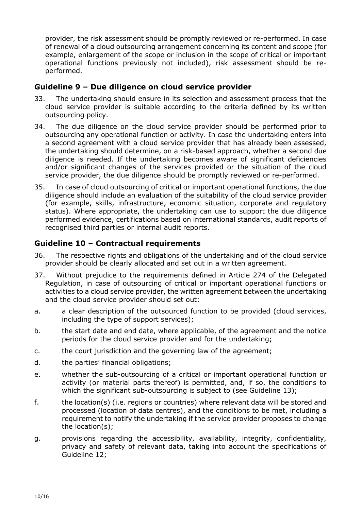provider, the risk assessment should be promptly reviewed or re-performed. In case of renewal of a cloud outsourcing arrangement concerning its content and scope (for example, enlargement of the scope or inclusion in the scope of critical or important operational functions previously not included), risk assessment should be reperformed.

## <span id="page-9-0"></span>**Guideline 9 – Due diligence on cloud service provider**

- 33. The undertaking should ensure in its selection and assessment process that the cloud service provider is suitable according to the criteria defined by its written outsourcing policy.
- 34. The due diligence on the cloud service provider should be performed prior to outsourcing any operational function or activity. In case the undertaking enters into a second agreement with a cloud service provider that has already been assessed, the undertaking should determine, on a risk-based approach, whether a second due diligence is needed. If the undertaking becomes aware of significant deficiencies and/or significant changes of the services provided or the situation of the cloud service provider, the due diligence should be promptly reviewed or re-performed.
- 35. In case of cloud outsourcing of critical or important operational functions, the due diligence should include an evaluation of the suitability of the cloud service provider (for example, skills, infrastructure, economic situation, corporate and regulatory status). Where appropriate, the undertaking can use to support the due diligence performed evidence, certifications based on international standards, audit reports of recognised third parties or internal audit reports.

# <span id="page-9-1"></span>**Guideline 10 – Contractual requirements**

- 36. The respective rights and obligations of the undertaking and of the cloud service provider should be clearly allocated and set out in a written agreement.
- 37. Without prejudice to the requirements defined in Article 274 of the Delegated Regulation, in case of outsourcing of critical or important operational functions or activities to a cloud service provider, the written agreement between the undertaking and the cloud service provider should set out:
- a. a clear description of the outsourced function to be provided (cloud services, including the type of support services);
- b. the start date and end date, where applicable, of the agreement and the notice periods for the cloud service provider and for the undertaking;
- c. the court jurisdiction and the governing law of the agreement;
- d. the parties' financial obligations;
- e. whether the sub-outsourcing of a critical or important operational function or activity (or material parts thereof) is permitted, and, if so, the conditions to which the significant sub-outsourcing is subject to (see Guideline 13);
- f. the location(s) (i.e. regions or countries) where relevant data will be stored and processed (location of data centres), and the conditions to be met, including a requirement to notify the undertaking if the service provider proposes to change the location(s);
- g. provisions regarding the accessibility, availability, integrity, confidentiality, privacy and safety of relevant data, taking into account the specifications of Guideline 12;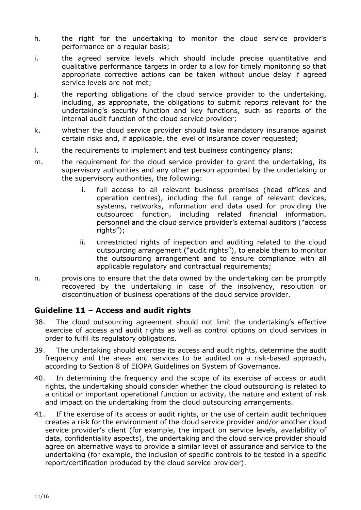- h. the right for the undertaking to monitor the cloud service provider's performance on a regular basis;
- i. the agreed service levels which should include precise quantitative and qualitative performance targets in order to allow for timely monitoring so that appropriate corrective actions can be taken without undue delay if agreed service levels are not met;
- j. the reporting obligations of the cloud service provider to the undertaking, including, as appropriate, the obligations to submit reports relevant for the undertaking's security function and key functions, such as reports of the internal audit function of the cloud service provider;
- k. whether the cloud service provider should take mandatory insurance against certain risks and, if applicable, the level of insurance cover requested;
- l. the requirements to implement and test business contingency plans;
- m. the requirement for the cloud service provider to grant the undertaking, its supervisory authorities and any other person appointed by the undertaking or the supervisory authorities, the following:
	- i. full access to all relevant business premises (head offices and operation centres), including the full range of relevant devices, systems, networks, information and data used for providing the outsourced function, including related financial information, personnel and the cloud service provider's external auditors ("access rights");
	- ii. unrestricted rights of inspection and auditing related to the cloud outsourcing arrangement ("audit rights"), to enable them to monitor the outsourcing arrangement and to ensure compliance with all applicable regulatory and contractual requirements;
- n. provisions to ensure that the data owned by the undertaking can be promptly recovered by the undertaking in case of the insolvency, resolution or discontinuation of business operations of the cloud service provider.

#### <span id="page-10-0"></span>**Guideline 11 – Access and audit rights**

- 38. The cloud outsourcing agreement should not limit the undertaking's effective exercise of access and audit rights as well as control options on cloud services in order to fulfil its regulatory obligations.
- 39. The undertaking should exercise its access and audit rights, determine the audit frequency and the areas and services to be audited on a risk-based approach, according to Section 8 of EIOPA Guidelines on System of Governance.
- 40. In determining the frequency and the scope of its exercise of access or audit rights, the undertaking should consider whether the cloud outsourcing is related to a critical or important operational function or activity, the nature and extent of risk and impact on the undertaking from the cloud outsourcing arrangements.
- 41. If the exercise of its access or audit rights, or the use of certain audit techniques creates a risk for the environment of the cloud service provider and/or another cloud service provider's client (for example, the impact on service levels, availability of data, confidentiality aspects), the undertaking and the cloud service provider should agree on alternative ways to provide a similar level of assurance and service to the undertaking (for example, the inclusion of specific controls to be tested in a specific report/certification produced by the cloud service provider).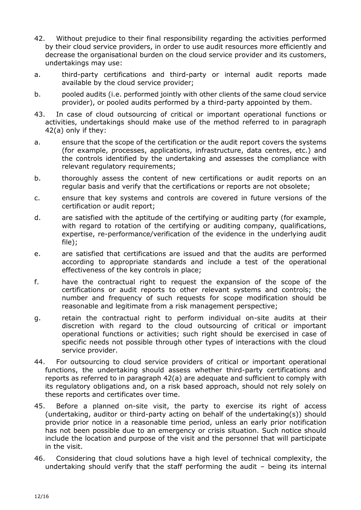- 42. Without prejudice to their final responsibility regarding the activities performed by their cloud service providers, in order to use audit resources more efficiently and decrease the organisational burden on the cloud service provider and its customers, undertakings may use:
- a. third-party certifications and third-party or internal audit reports made available by the cloud service provider;
- b. pooled audits (i.e. performed jointly with other clients of the same cloud service provider), or pooled audits performed by a third-party appointed by them.
- 43. In case of cloud outsourcing of critical or important operational functions or activities, undertakings should make use of the method referred to in paragraph 42(a) only if they:
- a. ensure that the scope of the certification or the audit report covers the systems (for example, processes, applications, infrastructure, data centres, etc.) and the controls identified by the undertaking and assesses the compliance with relevant regulatory requirements;
- b. thoroughly assess the content of new certifications or audit reports on an regular basis and verify that the certifications or reports are not obsolete;
- c. ensure that key systems and controls are covered in future versions of the certification or audit report;
- d. are satisfied with the aptitude of the certifying or auditing party (for example, with regard to rotation of the certifying or auditing company, qualifications, expertise, re-performance/verification of the evidence in the underlying audit file);
- e. are satisfied that certifications are issued and that the audits are performed according to appropriate standards and include a test of the operational effectiveness of the key controls in place;
- f. have the contractual right to request the expansion of the scope of the certifications or audit reports to other relevant systems and controls; the number and frequency of such requests for scope modification should be reasonable and legitimate from a risk management perspective;
- g. retain the contractual right to perform individual on-site audits at their discretion with regard to the cloud outsourcing of critical or important operational functions or activities; such right should be exercised in case of specific needs not possible through other types of interactions with the cloud service provider.
- 44. For outsourcing to cloud service providers of critical or important operational functions, the undertaking should assess whether third-party certifications and reports as referred to in paragraph 42(a) are adequate and sufficient to comply with its regulatory obligations and, on a risk based approach, should not rely solely on these reports and certificates over time.
- 45. Before a planned on-site visit, the party to exercise its right of access (undertaking, auditor or third-party acting on behalf of the undertaking(s)) should provide prior notice in a reasonable time period, unless an early prior notification has not been possible due to an emergency or crisis situation. Such notice should include the location and purpose of the visit and the personnel that will participate in the visit.
- 46. Considering that cloud solutions have a high level of technical complexity, the undertaking should verify that the staff performing the audit – being its internal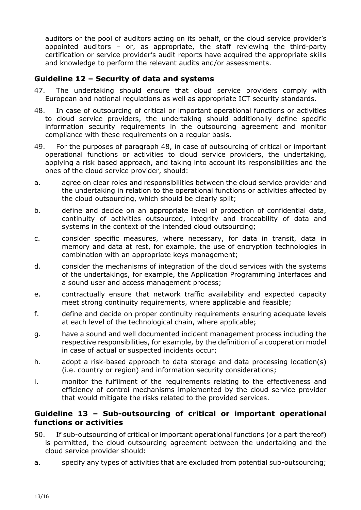auditors or the pool of auditors acting on its behalf, or the cloud service provider's appointed auditors – or, as appropriate, the staff reviewing the third-party certification or service provider's audit reports have acquired the appropriate skills and knowledge to perform the relevant audits and/or assessments.

# <span id="page-12-0"></span>**Guideline 12 – Security of data and systems**

- 47. The undertaking should ensure that cloud service providers comply with European and national regulations as well as appropriate ICT security standards.
- 48. In case of outsourcing of critical or important operational functions or activities to cloud service providers, the undertaking should additionally define specific information security requirements in the outsourcing agreement and monitor compliance with these requirements on a regular basis.
- 49. For the purposes of paragraph 48, in case of outsourcing of critical or important operational functions or activities to cloud service providers, the undertaking, applying a risk based approach, and taking into account its responsibilities and the ones of the cloud service provider, should:
- a. agree on clear roles and responsibilities between the cloud service provider and the undertaking in relation to the operational functions or activities affected by the cloud outsourcing, which should be clearly split;
- b. define and decide on an appropriate level of protection of confidential data, continuity of activities outsourced, integrity and traceability of data and systems in the context of the intended cloud outsourcing;
- c. consider specific measures, where necessary, for data in transit, data in memory and data at rest, for example, the use of encryption technologies in combination with an appropriate keys management;
- d. consider the mechanisms of integration of the cloud services with the systems of the undertakings, for example, the Application Programming Interfaces and a sound user and access management process;
- e. contractually ensure that network traffic availability and expected capacity meet strong continuity requirements, where applicable and feasible:
- f. define and decide on proper continuity requirements ensuring adequate levels at each level of the technological chain, where applicable;
- g. have a sound and well documented incident management process including the respective responsibilities, for example, by the definition of a cooperation model in case of actual or suspected incidents occur;
- h. adopt a risk-based approach to data storage and data processing location(s) (i.e. country or region) and information security considerations;
- i. monitor the fulfilment of the requirements relating to the effectiveness and efficiency of control mechanisms implemented by the cloud service provider that would mitigate the risks related to the provided services.

## <span id="page-12-1"></span>**Guideline 13 – Sub-outsourcing of critical or important operational functions or activities**

- 50. If sub-outsourcing of critical or important operational functions (or a part thereof) is permitted, the cloud outsourcing agreement between the undertaking and the cloud service provider should:
- a. specify any types of activities that are excluded from potential sub-outsourcing;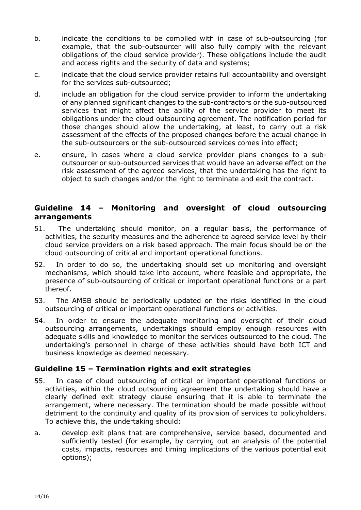- b. indicate the conditions to be complied with in case of sub-outsourcing (for example, that the sub-outsourcer will also fully comply with the relevant obligations of the cloud service provider). These obligations include the audit and access rights and the security of data and systems;
- c. indicate that the cloud service provider retains full accountability and oversight for the services sub-outsourced;
- d. include an obligation for the cloud service provider to inform the undertaking of any planned significant changes to the sub-contractors or the sub-outsourced services that might affect the ability of the service provider to meet its obligations under the cloud outsourcing agreement. The notification period for those changes should allow the undertaking, at least, to carry out a risk assessment of the effects of the proposed changes before the actual change in the sub-outsourcers or the sub-outsourced services comes into effect;
- e. ensure, in cases where a cloud service provider plans changes to a suboutsourcer or sub-outsourced services that would have an adverse effect on the risk assessment of the agreed services, that the undertaking has the right to object to such changes and/or the right to terminate and exit the contract.

## <span id="page-13-0"></span>**Guideline 14 – Monitoring and oversight of cloud outsourcing arrangements**

- 51. The undertaking should monitor, on a regular basis, the performance of activities, the security measures and the adherence to agreed service level by their cloud service providers on a risk based approach. The main focus should be on the cloud outsourcing of critical and important operational functions.
- 52. In order to do so, the undertaking should set up monitoring and oversight mechanisms, which should take into account, where feasible and appropriate, the presence of sub-outsourcing of critical or important operational functions or a part thereof.
- 53. The AMSB should be periodically updated on the risks identified in the cloud outsourcing of critical or important operational functions or activities.
- 54. In order to ensure the adequate monitoring and oversight of their cloud outsourcing arrangements, undertakings should employ enough resources with adequate skills and knowledge to monitor the services outsourced to the cloud. The undertaking's personnel in charge of these activities should have both ICT and business knowledge as deemed necessary.

#### <span id="page-13-1"></span>**Guideline 15 – Termination rights and exit strategies**

- 55. In case of cloud outsourcing of critical or important operational functions or activities, within the cloud outsourcing agreement the undertaking should have a clearly defined exit strategy clause ensuring that it is able to terminate the arrangement, where necessary. The termination should be made possible without detriment to the continuity and quality of its provision of services to policyholders. To achieve this, the undertaking should:
- a. develop exit plans that are comprehensive, service based, documented and sufficiently tested (for example, by carrying out an analysis of the potential costs, impacts, resources and timing implications of the various potential exit options);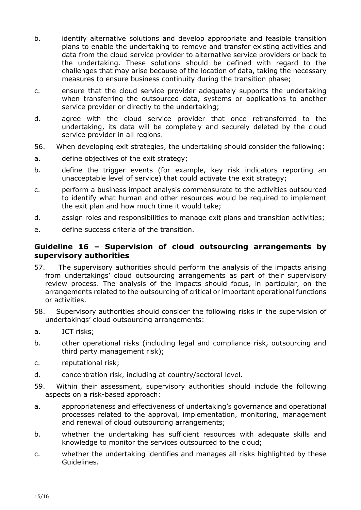- b. identify alternative solutions and develop appropriate and feasible transition plans to enable the undertaking to remove and transfer existing activities and data from the cloud service provider to alternative service providers or back to the undertaking. These solutions should be defined with regard to the challenges that may arise because of the location of data, taking the necessary measures to ensure business continuity during the transition phase;
- c. ensure that the cloud service provider adequately supports the undertaking when transferring the outsourced data, systems or applications to another service provider or directly to the undertaking;
- d. agree with the cloud service provider that once retransferred to the undertaking, its data will be completely and securely deleted by the cloud service provider in all regions.
- 56. When developing exit strategies, the undertaking should consider the following:
- a. define objectives of the exit strategy;
- b. define the trigger events (for example, key risk indicators reporting an unacceptable level of service) that could activate the exit strategy;
- c. perform a business impact analysis commensurate to the activities outsourced to identify what human and other resources would be required to implement the exit plan and how much time it would take;
- d. assign roles and responsibilities to manage exit plans and transition activities;
- e. define success criteria of the transition.

#### <span id="page-14-0"></span>**Guideline 16 – Supervision of cloud outsourcing arrangements by supervisory authorities**

- 57. The supervisory authorities should perform the analysis of the impacts arising from undertakings' cloud outsourcing arrangements as part of their supervisory review process. The analysis of the impacts should focus, in particular, on the arrangements related to the outsourcing of critical or important operational functions or activities.
- 58. Supervisory authorities should consider the following risks in the supervision of undertakings' cloud outsourcing arrangements:
- a. ICT risks;
- b. other operational risks (including legal and compliance risk, outsourcing and third party management risk);
- c. reputational risk;
- d. concentration risk, including at country/sectoral level.
- 59. Within their assessment, supervisory authorities should include the following aspects on a risk-based approach:
- a. appropriateness and effectiveness of undertaking's governance and operational processes related to the approval, implementation, monitoring, management and renewal of cloud outsourcing arrangements;
- b. whether the undertaking has sufficient resources with adequate skills and knowledge to monitor the services outsourced to the cloud;
- c. whether the undertaking identifies and manages all risks highlighted by these Guidelines.